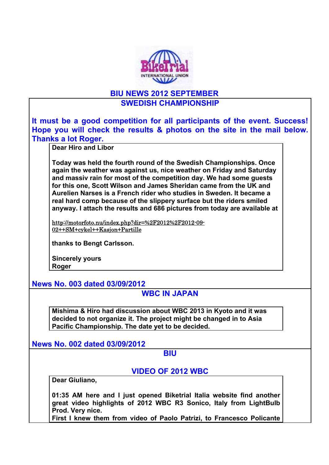

## **BIU NEWS 2012 SEPTEMBER**

## **SWEDISH CHAMPIONSHIP**

**It must be a good competition for all participants of the event. Success! Hope you will check the results & photos on the site in the mail below. Thanks a lot Roger.** 

**Dear Hiro and Libor** 

**Today was held the fourth round of the Swedish Championships. Once again the weather was against us, nice weather on Friday and Saturday and massiv rain for most of the competition day. We had some guests for this one, Scott Wilson and James Sheridan came from the UK and Aurelien Narses is a French rider who studies in Sweden. It became a real hard comp because of the slippery surface but the riders smiled anyway. I attach the results and 686 pictures from today are available at** 

http://motorfoto.nu/index.php?dir=%2F2012%2F2012-09- 02++SM+cykel++Kasjon+Partille

**thanks to Bengt Carlsson.** 

**Sincerely yours Roger** 

**News No. 003 dated 03/09/2012** 

# **WBC IN JAPAN**

**Mishima & Hiro had discussion about WBC 2013 in Kyoto and it was decided to not organize it. The project might be changed in to Asia Pacific Championship. The date yet to be decided.** 

**News No. 002 dated 03/09/2012** 

#### **BIU**

# **VIDEO OF 2012 WBC**

**Dear Giuliano,** 

**01:35 AM here and I just opened Biketrial Italia website find another great video highlights of 2012 WBC R3 Sonico, Italy from LightBulb Prod. Very nice.** 

**First I knew them from video of Paolo Patrizi, to Francesco Policante**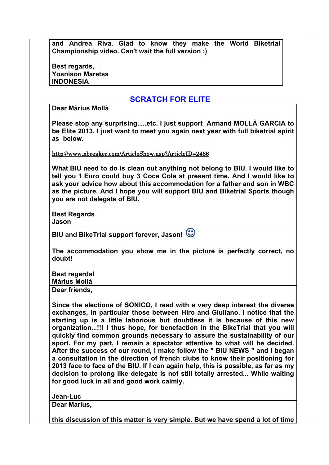|                                                    |  |  |  |  | and Andrea Riva. Glad to know they make the World Biketrial |
|----------------------------------------------------|--|--|--|--|-------------------------------------------------------------|
| Championship video. Can't wait the full version :) |  |  |  |  |                                                             |

**Best regards, Yosnison Maretsa INDONESIA**

## **SCRATCH FOR ELITE**

**Dear Màrius Mollà** 

**Please stop any surprising.....etc. I just support Armand MOLLÀ GARCIA to be Elite 2013. I just want to meet you again next year with full biketrial spirit as below.**

http://www.xbreaker.com/ArticleShow.asp?ArticleID=2466

**What BIU need to do is clean out anything not belong to BIU. I would like to tell you 1 Euro could buy 3 Coca Cola at present time. And I would like to ask your advice how about this accommodation for a father and son in WBC as the picture. And I hope you will support BIU and Biketrial Sports though you are not delegate of BIU.** 

**Best Regards Jason**

| BIU and BikeTrial support forever, Jason! $\mathbb{\hat{O}}$ |  |
|--------------------------------------------------------------|--|
|--------------------------------------------------------------|--|

**The accommodation you show me in the picture is perfectly correct, no doubt!** 

**Best regards!** 

**Màrius Mollà**

**Dear friends,**

**Since the elections of SONICO, I read with a very deep interest the diverse exchanges, in particular those between Hiro and Giuliano. I notice that the starting up is a little laborious but doubtless it is because of this new organization...!!! I thus hope, for benefaction in the BikeTrial that you will quickly find common grounds necessary to assure the sustainability of our sport. For my part, I remain a spectator attentive to what will be decided. After the success of our round, I make follow the " BIU NEWS " and I began a consultation in the direction of french clubs to know their positioning for 2013 face to face of the BIU. If I can again help, this is possible, as far as my decision to prolong like delegate is not still totally arrested... While waiting for good luck in all and good work calmly.** 

**Jean-Luc** 

**Dear Marius,** 

**this discussion of this matter is very simple. But we have spend a lot of time**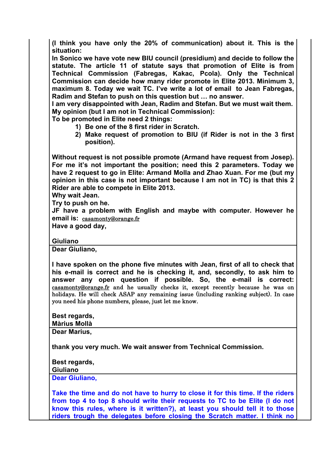**(I think you have only the 20% of communication) about it. This is the situation:** 

**In Sonico we have vote new BIU council (presidium) and decide to follow the statute. The article 11 of statute says that promotion of Elite is from Technical Commission (Fabregas, Kakac, Pcola). Only the Technical Commission can decide how many rider promote in Elite 2013. Minimum 3, maximum 8. Today we wait TC. I've write a lot of email to Jean Fabregas, Radim and Stefan to push on this question but … no answer.** 

**I am very disappointed with Jean, Radim and Stefan. But we must wait them. My opinion (but I am not in Technical Commission):** 

**To be promoted in Elite need 2 things:** 

- **1) Be one of the 8 first rider in Scratch.**
- **2) Make request of promotion to BIU (if Rider is not in the 3 first position).**

**Without request is not possible promote (Armand have request from Josep). For me it's not important the position; need this 2 parameters. Today we have 2 request to go in Elite: Armand Molla and Zhao Xuan. For me (but my opinion in this case is not important because I am not in TC) is that this 2 Rider are able to compete in Elite 2013.** 

**Why wait Jean.** 

**Try to push on he.** 

**JF have a problem with English and maybe with computer. However he email is:** casamonty@orange.fr

**Have a good day,** 

**Giuliano**

**Dear Giuliano,** 

**I have spoken on the phone five minutes with Jean, first of all to check that his e-mail is correct and he is checking it, and, secondly, to ask him to answer any open question if possible. So, the e-mail is correct:**  casamonty@orange.fr and he usually checks it, except recently because he was on holidays. He will check ASAP any remaining issue (including ranking subject). In case you need his phone numbers, please, just let me know.

| Best regards,            |
|--------------------------|
| <b>Màrius Mollà</b>      |
| <b>B A A A A A A A A</b> |

**Dear Marius,** 

**thank you very much. We wait answer from Technical Commission.** 

**Best regards,** 

**Giuliano**

**Dear Giuliano,** 

**Take the time and do not have to hurry to close it for this time. If the riders from top 4 to top 8 should write their requests to TC to be Elite (I do not know this rules, where is it written?), at least you should tell it to those riders trough the delegates before closing the Scratch matter. I think no**